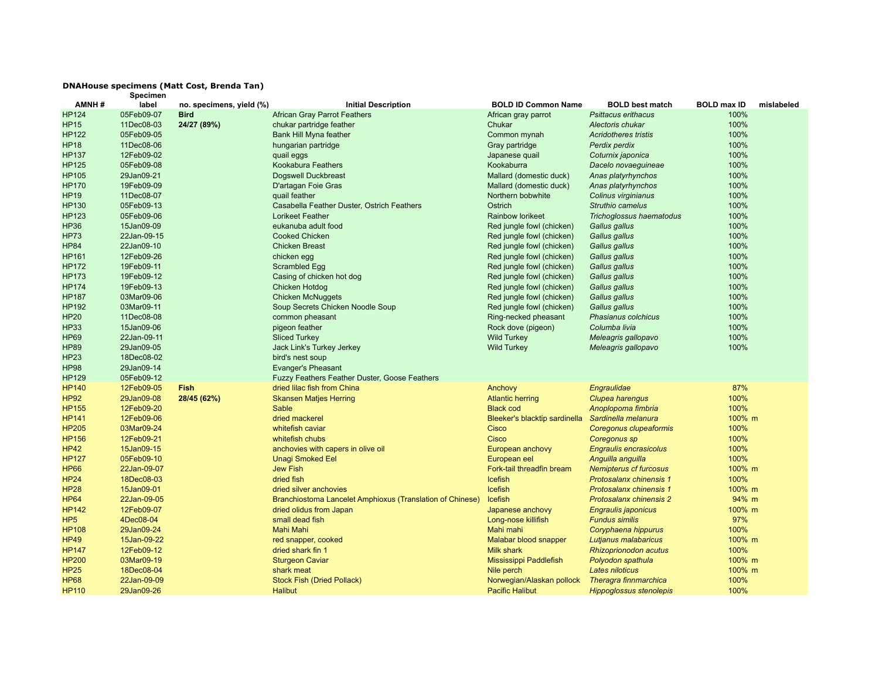## **DNAHouse specimens (Matt Cost, Brenda Tan) Specimen**

| AMNH#           | label       | no. specimens, yield (%) | <b>Initial Description</b>                                | <b>BOLD ID Common Name</b>    | <b>BOLD best match</b>         | <b>BOLD max ID</b> | mislabeled |
|-----------------|-------------|--------------------------|-----------------------------------------------------------|-------------------------------|--------------------------------|--------------------|------------|
| <b>HP124</b>    | 05Feb09-07  | <b>Bird</b>              | <b>African Gray Parrot Feathers</b>                       | African gray parrot           | <b>Psittacus erithacus</b>     | 100%               |            |
| <b>HP15</b>     | 11Dec08-03  | 24/27 (89%)              | chukar partridge feather                                  | Chukar                        | Alectoris chukar               | 100%               |            |
| <b>HP122</b>    | 05Feb09-05  |                          | <b>Bank Hill Myna feather</b>                             | Common mynah                  | <b>Acridotheres tristis</b>    | 100%               |            |
| <b>HP18</b>     | 11Dec08-06  |                          | hungarian partridge                                       | Gray partridge                | Perdix perdix                  | 100%               |            |
| <b>HP137</b>    | 12Feb09-02  |                          | quail eggs                                                | Japanese quail                | Coturnix japonica              | 100%               |            |
| <b>HP125</b>    | 05Feb09-08  |                          | Kookabura Feathers                                        | Kookaburra                    | Dacelo novaeguineae            | 100%               |            |
| <b>HP105</b>    | 29Jan09-21  |                          | <b>Dogswell Duckbreast</b>                                | Mallard (domestic duck)       | Anas platyrhynchos             | 100%               |            |
| <b>HP170</b>    | 19Feb09-09  |                          | D'artagan Foie Gras                                       | Mallard (domestic duck)       | Anas platyrhynchos             | 100%               |            |
| <b>HP19</b>     | 11Dec08-07  |                          | quail feather                                             | Northern bobwhite             | Colinus virginianus            | 100%               |            |
| <b>HP130</b>    | 05Feb09-13  |                          | Casabella Feather Duster, Ostrich Feathers                | Ostrich                       | <b>Struthio camelus</b>        | 100%               |            |
| <b>HP123</b>    | 05Feb09-06  |                          | <b>Lorikeet Feather</b>                                   | <b>Rainbow lorikeet</b>       | Trichoglossus haematodus       | 100%               |            |
| <b>HP36</b>     | 15Jan09-09  |                          | eukanuba adult food                                       | Red jungle fowl (chicken)     | Gallus gallus                  | 100%               |            |
| <b>HP73</b>     | 22Jan-09-15 |                          | <b>Cooked Chicken</b>                                     | Red jungle fowl (chicken)     | Gallus gallus                  | 100%               |            |
| <b>HP84</b>     | 22Jan09-10  |                          | <b>Chicken Breast</b>                                     | Red jungle fowl (chicken)     | Gallus gallus                  | 100%               |            |
| <b>HP161</b>    | 12Feb09-26  |                          | chicken egg                                               | Red jungle fowl (chicken)     | Gallus gallus                  | 100%               |            |
| <b>HP172</b>    | 19Feb09-11  |                          | Scrambled Egg                                             | Red jungle fowl (chicken)     | Gallus gallus                  | 100%               |            |
| <b>HP173</b>    | 19Feb09-12  |                          | Casing of chicken hot dog                                 | Red jungle fowl (chicken)     | Gallus gallus                  | 100%               |            |
| <b>HP174</b>    | 19Feb09-13  |                          | <b>Chicken Hotdog</b>                                     | Red jungle fowl (chicken)     | Gallus gallus                  | 100%               |            |
| <b>HP187</b>    | 03Mar09-06  |                          | <b>Chicken McNuggets</b>                                  | Red jungle fowl (chicken)     | Gallus gallus                  | 100%               |            |
| <b>HP192</b>    | 03Mar09-11  |                          | Soup Secrets Chicken Noodle Soup                          | Red jungle fowl (chicken)     | Gallus gallus                  | 100%               |            |
| <b>HP20</b>     | 11Dec08-08  |                          | common pheasant                                           | Ring-necked pheasant          | Phasianus colchicus            | 100%               |            |
| <b>HP33</b>     | 15Jan09-06  |                          | pigeon feather                                            | Rock dove (pigeon)            | Columba livia                  | 100%               |            |
| <b>HP69</b>     | 22Jan-09-11 |                          | <b>Sliced Turkey</b>                                      | <b>Wild Turkey</b>            | Meleagris gallopavo            | 100%               |            |
| <b>HP89</b>     | 29Jan09-05  |                          | Jack Link's Turkey Jerkey                                 | <b>Wild Turkey</b>            | Meleagris gallopavo            | 100%               |            |
| <b>HP23</b>     | 18Dec08-02  |                          | bird's nest soup                                          |                               |                                |                    |            |
| <b>HP98</b>     | 29Jan09-14  |                          | <b>Evanger's Pheasant</b>                                 |                               |                                |                    |            |
| <b>HP129</b>    | 05Feb09-12  |                          | Fuzzy Feathers Feather Duster, Goose Feathers             |                               |                                |                    |            |
| <b>HP140</b>    | 12Feb09-05  | <b>Fish</b>              | dried lilac fish from China                               | Anchovy                       | Engraulidae                    | 87%                |            |
| <b>HP92</b>     | 29Jan09-08  | 28/45 (62%)              | <b>Skansen Matjes Herring</b>                             | <b>Atlantic herring</b>       | Clupea harengus                | 100%               |            |
| <b>HP155</b>    | 12Feb09-20  |                          | Sable                                                     | <b>Black cod</b>              | Anoplopoma fimbria             | 100%               |            |
| <b>HP141</b>    | 12Feb09-06  |                          | dried mackerel                                            | Bleeker's blacktip sardinella | Sardinella melanura            | 100% m             |            |
| <b>HP205</b>    | 03Mar09-24  |                          | whitefish caviar                                          | Cisco                         | Coregonus clupeaformis         | 100%               |            |
| <b>HP156</b>    | 12Feb09-21  |                          | whitefish chubs                                           | Cisco                         | Coregonus sp                   | 100%               |            |
| <b>HP42</b>     | 15Jan09-15  |                          | anchovies with capers in olive oil                        | European anchovy              | <b>Engraulis encrasicolus</b>  | 100%               |            |
| <b>HP127</b>    | 05Feb09-10  |                          | <b>Unagi Smoked Eel</b>                                   | European eel                  | Anguilla anguilla              | 100%               |            |
| <b>HP66</b>     | 22Jan-09-07 |                          | <b>Jew Fish</b>                                           | Fork-tail threadfin bream     | <b>Nemipterus cf furcosus</b>  | 100% m             |            |
| <b>HP24</b>     | 18Dec08-03  |                          | dried fish                                                | Icefish                       | Protosalanx chinensis 1        | 100%               |            |
| <b>HP28</b>     | 15Jan09-01  |                          | dried silver anchovies                                    | Icefish                       | Protosalanx chinensis 1        | 100% m             |            |
| <b>HP64</b>     | 22Jan-09-05 |                          | Branchiostoma Lancelet Amphioxus (Translation of Chinese) | Icefish                       | Protosalanx chinensis 2        | 94% m              |            |
| <b>HP142</b>    | 12Feb09-07  |                          | dried olidus from Japan                                   | Japanese anchovy              | Engraulis japonicus            | 100% m             |            |
| HP <sub>5</sub> | 4Dec08-04   |                          | small dead fish                                           | Long-nose killifish           | <b>Fundus similis</b>          | 97%                |            |
| <b>HP108</b>    | 29Jan09-24  |                          | <b>Mahi Mahi</b>                                          | Mahi mahi                     | Coryphaena hippurus            | 100%               |            |
| <b>HP49</b>     | 15Jan-09-22 |                          | red snapper, cooked                                       | Malabar blood snapper         | Lutjanus malabaricus           | 100% m             |            |
| <b>HP147</b>    | 12Feb09-12  |                          | dried shark fin 1                                         | <b>Milk shark</b>             | <b>Rhizoprionodon acutus</b>   | 100%               |            |
| <b>HP200</b>    | 03Mar09-19  |                          | <b>Sturgeon Caviar</b>                                    | Mississippi Paddlefish        | Polyodon spathula              | 100% m             |            |
| <b>HP25</b>     | 18Dec08-04  |                          | shark meat                                                | Nile perch                    | Lates niloticus                | 100% m             |            |
| <b>HP68</b>     | 22Jan-09-09 |                          | <b>Stock Fish (Dried Pollack)</b>                         | Norwegian/Alaskan pollock     | Theragra finnmarchica          | 100%               |            |
| <b>HP110</b>    | 29Jan09-26  |                          | <b>Halibut</b>                                            | <b>Pacific Halibut</b>        | <b>Hippoglossus stenolepis</b> | 100%               |            |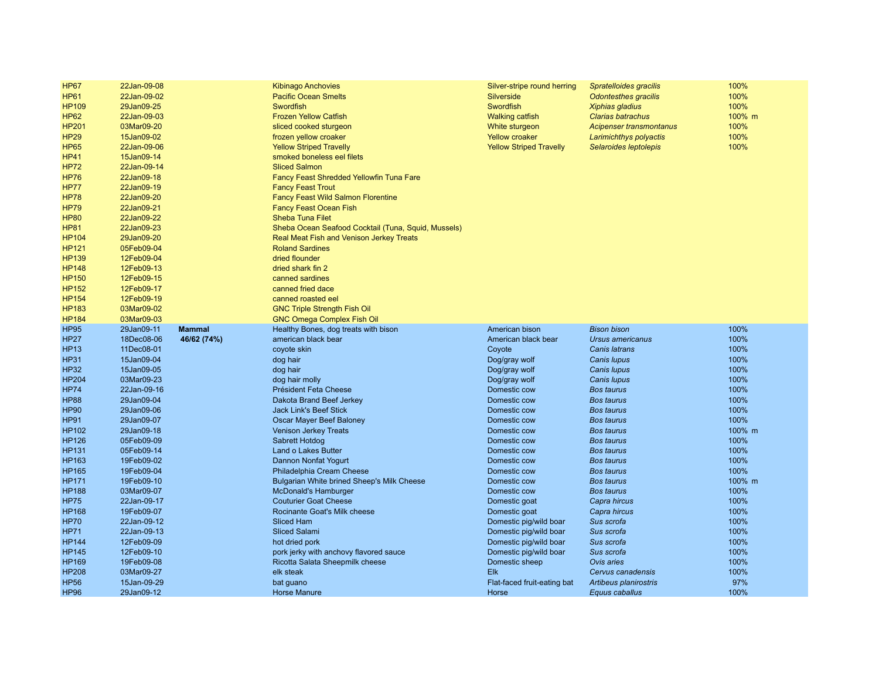| <b>HP67</b>                | 22Jan-09-08               |               | <b>Kibinago Anchovies</b>                                | Silver-stripe round herring          | Spratelloides gracilis                  | 100%        |
|----------------------------|---------------------------|---------------|----------------------------------------------------------|--------------------------------------|-----------------------------------------|-------------|
| <b>HP61</b>                | 22Jan-09-02               |               | <b>Pacific Ocean Smelts</b>                              | Silverside                           | <b>Odontesthes gracilis</b>             | 100%        |
| <b>HP109</b>               | 29Jan09-25                |               | Swordfish                                                | Swordfish                            | Xiphias gladius                         | 100%        |
| <b>HP62</b>                | 22Jan-09-03               |               | <b>Frozen Yellow Catfish</b>                             | <b>Walking catfish</b>               | <b>Clarias batrachus</b>                | 100% m      |
| <b>HP201</b>               | 03Mar09-20                |               | sliced cooked sturgeon                                   | White sturgeon                       | Acipenser transmontanus                 | 100%        |
| <b>HP29</b>                | 15Jan09-02                |               | frozen yellow croaker                                    | <b>Yellow croaker</b>                | Larimichthys polyactis                  | 100%        |
| <b>HP65</b>                | 22Jan-09-06               |               | <b>Yellow Striped Travelly</b>                           | <b>Yellow Striped Travelly</b>       |                                         | 100%        |
|                            |                           |               |                                                          |                                      | Selaroides leptolepis                   |             |
| <b>HP41</b>                | 15Jan09-14                |               | smoked boneless eel filets<br><b>Sliced Salmon</b>       |                                      |                                         |             |
| <b>HP72</b>                | 22Jan-09-14               |               |                                                          |                                      |                                         |             |
| <b>HP76</b>                | 22Jan09-18                |               | <b>Fancy Feast Shredded Yellowfin Tuna Fare</b>          |                                      |                                         |             |
| <b>HP77</b>                | 22Jan09-19                |               | <b>Fancy Feast Trout</b>                                 |                                      |                                         |             |
| <b>HP78</b>                | 22Jan09-20                |               | <b>Fancy Feast Wild Salmon Florentine</b>                |                                      |                                         |             |
| <b>HP79</b>                | 22Jan09-21                |               | <b>Fancy Feast Ocean Fish</b>                            |                                      |                                         |             |
| <b>HP80</b>                | 22Jan09-22                |               | <b>Sheba Tuna Filet</b>                                  |                                      |                                         |             |
| <b>HP81</b>                | 22Jan09-23                |               | Sheba Ocean Seafood Cocktail (Tuna, Squid, Mussels)      |                                      |                                         |             |
| <b>HP104</b>               | 29Jan09-20                |               | Real Meat Fish and Venison Jerkey Treats                 |                                      |                                         |             |
| <b>HP121</b>               | 05Feb09-04                |               | <b>Roland Sardines</b>                                   |                                      |                                         |             |
| <b>HP139</b>               | 12Feb09-04                |               | dried flounder                                           |                                      |                                         |             |
| <b>HP148</b>               | 12Feb09-13                |               | dried shark fin 2                                        |                                      |                                         |             |
| <b>HP150</b>               | 12Feb09-15                |               | canned sardines                                          |                                      |                                         |             |
| <b>HP152</b>               | 12Feb09-17                |               | canned fried dace                                        |                                      |                                         |             |
| <b>HP154</b>               | 12Feb09-19                |               | canned roasted eel                                       |                                      |                                         |             |
| <b>HP183</b>               | 03Mar09-02                |               | <b>GNC Triple Strength Fish Oil</b>                      |                                      |                                         |             |
| <b>HP184</b>               | 03Mar09-03                |               | <b>GNC Omega Complex Fish Oil</b>                        |                                      |                                         |             |
| <b>HP95</b>                | 29Jan09-11                | <b>Mammal</b> | Healthy Bones, dog treats with bison                     | American bison                       | <b>Bison bison</b>                      | 100%        |
| <b>HP27</b>                | 18Dec08-06                | 46/62 (74%)   | american black bear                                      | American black bear                  | Ursus americanus                        | 100%        |
| <b>HP13</b>                | 11Dec08-01                |               | coyote skin                                              | Coyote                               | Canis latrans                           | 100%        |
| <b>HP31</b>                | 15Jan09-04                |               | dog hair                                                 | Dog/gray wolf                        | Canis lupus                             | 100%        |
| <b>HP32</b>                | 15Jan09-05                |               | dog hair                                                 | Dog/gray wolf                        | Canis lupus                             | 100%        |
| <b>HP204</b>               | 03Mar09-23                |               |                                                          |                                      |                                         |             |
| <b>HP74</b>                |                           |               | dog hair molly                                           | Dog/gray wolf                        | Canis lupus                             | 100%        |
|                            | 22Jan-09-16               |               | Président Feta Cheese                                    | Domestic cow                         | <b>Bos taurus</b>                       | 100%        |
| <b>HP88</b>                | 29Jan09-04                |               | Dakota Brand Beef Jerkey                                 | Domestic cow                         | <b>Bos taurus</b>                       | 100%        |
| <b>HP90</b>                | 29Jan09-06                |               | <b>Jack Link's Beef Stick</b>                            | Domestic cow                         | <b>Bos taurus</b>                       | 100%        |
| <b>HP91</b>                | 29Jan09-07                |               |                                                          | Domestic cow                         | <b>Bos taurus</b>                       | 100%        |
| <b>HP102</b>               | 29Jan09-18                |               | Oscar Mayer Beef Baloney<br><b>Venison Jerkey Treats</b> | Domestic cow                         | <b>Bos taurus</b>                       | 100% m      |
| <b>HP126</b>               | 05Feb09-09                |               | Sabrett Hotdog                                           | Domestic cow                         | <b>Bos taurus</b>                       | 100%        |
| HP131                      | 05Feb09-14                |               | Land o Lakes Butter                                      | Domestic cow                         | <b>Bos taurus</b>                       | 100%        |
| HP163                      | 19Feb09-02                |               | Dannon Nonfat Yogurt                                     | Domestic cow                         | <b>Bos taurus</b>                       | 100%        |
| <b>HP165</b>               | 19Feb09-04                |               |                                                          | Domestic cow                         | <b>Bos taurus</b>                       | 100%        |
|                            | 19Feb09-10                |               | Philadelphia Cream Cheese                                | Domestic cow                         | <b>Bos taurus</b>                       | 100% m      |
| <b>HP171</b>               |                           |               | Bulgarian White brined Sheep's Milk Cheese               |                                      |                                         |             |
| <b>HP188</b>               | 03Mar09-07                |               | McDonald's Hamburger                                     | Domestic cow                         | <b>Bos taurus</b>                       | 100%        |
| <b>HP75</b>                | 22Jan-09-17               |               | <b>Couturier Goat Cheese</b>                             | Domestic goat                        | Capra hircus                            | 100%        |
| <b>HP168</b>               | 19Feb09-07                |               | Rocinante Goat's Milk cheese                             | Domestic goat                        | Capra hircus                            | 100%        |
| <b>HP70</b>                | 22Jan-09-12               |               | <b>Sliced Ham</b>                                        | Domestic pig/wild boar               | Sus scrofa                              | 100%        |
| <b>HP71</b>                | 22Jan-09-13               |               | <b>Sliced Salami</b>                                     | Domestic pig/wild boar               | Sus scrofa                              | 100%        |
| <b>HP144</b>               | 12Feb09-09                |               | hot dried pork                                           | Domestic pig/wild boar               | Sus scrofa                              | 100%        |
| <b>HP145</b>               | 12Feb09-10                |               | pork jerky with anchovy flavored sauce                   | Domestic pig/wild boar               | Sus scrofa                              | 100%        |
| <b>HP169</b>               | 19Feb09-08                |               | Ricotta Salata Sheepmilk cheese                          | Domestic sheep                       | Ovis aries                              | 100%        |
| <b>HP208</b>               | 03Mar09-27                |               | elk steak                                                | Elk                                  | Cervus canadensis                       | 100%        |
| <b>HP56</b><br><b>HP96</b> | 15Jan-09-29<br>29Jan09-12 |               | bat guano<br><b>Horse Manure</b>                         | Flat-faced fruit-eating bat<br>Horse | Artibeus planirostris<br>Equus caballus | 97%<br>100% |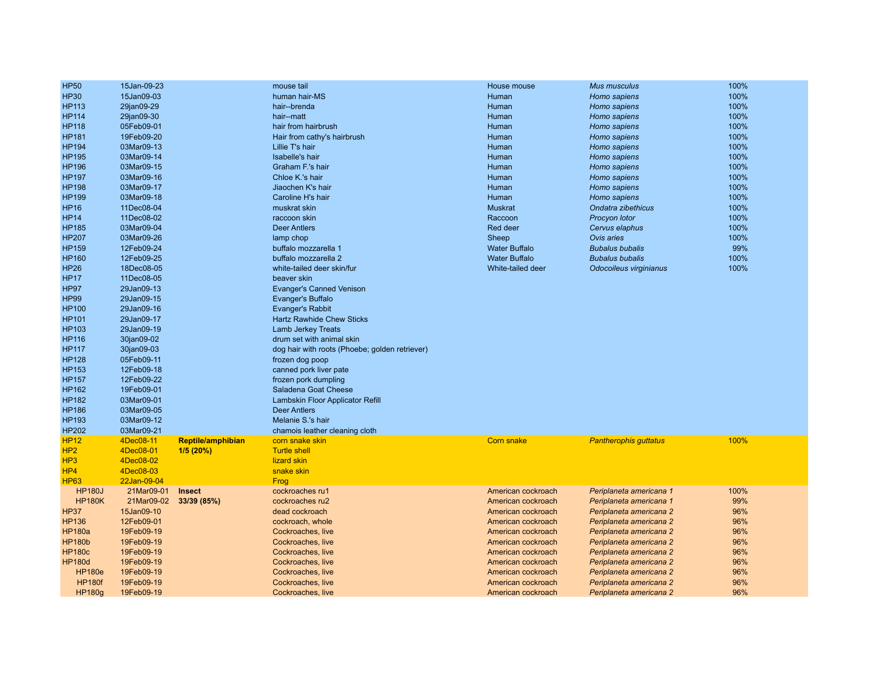| <b>HP50</b>     | 15Jan-09-23 |                          | mouse tail                                     | House mouse          | <b>Mus musculus</b>          | 100% |
|-----------------|-------------|--------------------------|------------------------------------------------|----------------------|------------------------------|------|
| <b>HP30</b>     | 15Jan09-03  |                          | human hair-MS                                  | Human                | Homo sapiens                 | 100% |
| <b>HP113</b>    | 29jan09-29  |                          | hair--brenda                                   | Human                | Homo sapiens                 | 100% |
| <b>HP114</b>    | 29jan09-30  |                          | hair--matt                                     | Human                | Homo sapiens                 | 100% |
| <b>HP118</b>    | 05Feb09-01  |                          | hair from hairbrush                            | Human                | Homo sapiens                 | 100% |
| <b>HP181</b>    | 19Feb09-20  |                          | Hair from cathy's hairbrush                    | Human                | Homo sapiens                 | 100% |
| <b>HP194</b>    | 03Mar09-13  |                          | Lillie T's hair                                | Human                | Homo sapiens                 | 100% |
| <b>HP195</b>    | 03Mar09-14  |                          | Isabelle's hair                                | Human                | Homo sapiens                 | 100% |
| <b>HP196</b>    | 03Mar09-15  |                          | Graham F.'s hair                               | Human                | Homo sapiens                 | 100% |
| <b>HP197</b>    | 03Mar09-16  |                          | Chloe K.'s hair                                | Human                | Homo sapiens                 | 100% |
| <b>HP198</b>    | 03Mar09-17  |                          | Jiaochen K's hair                              | Human                | Homo sapiens                 | 100% |
| <b>HP199</b>    | 03Mar09-18  |                          | Caroline H's hair                              | Human                | Homo sapiens                 | 100% |
| <b>HP16</b>     | 11Dec08-04  |                          | muskrat skin                                   | <b>Muskrat</b>       | Ondatra zibethicus           | 100% |
| <b>HP14</b>     | 11Dec08-02  |                          | raccoon skin                                   | Raccoon              | Procyon lotor                | 100% |
| <b>HP185</b>    | 03Mar09-04  |                          | <b>Deer Antlers</b>                            | Red deer             | Cervus elaphus               | 100% |
| <b>HP207</b>    | 03Mar09-26  |                          | lamp chop                                      | Sheep                | Ovis aries                   | 100% |
| <b>HP159</b>    | 12Feb09-24  |                          | buffalo mozzarella 1                           | <b>Water Buffalo</b> | <b>Bubalus bubalis</b>       | 99%  |
| <b>HP160</b>    | 12Feb09-25  |                          | buffalo mozzarella 2                           | <b>Water Buffalo</b> | <b>Bubalus bubalis</b>       | 100% |
| <b>HP26</b>     | 18Dec08-05  |                          | white-tailed deer skin/fur                     | White-tailed deer    | Odocoileus virginianus       | 100% |
| <b>HP17</b>     | 11Dec08-05  |                          | beaver skin                                    |                      |                              |      |
| <b>HP97</b>     | 29Jan09-13  |                          | <b>Evanger's Canned Venison</b>                |                      |                              |      |
| <b>HP99</b>     | 29Jan09-15  |                          | Evanger's Buffalo                              |                      |                              |      |
| <b>HP100</b>    | 29Jan09-16  |                          | <b>Evanger's Rabbit</b>                        |                      |                              |      |
| <b>HP101</b>    | 29Jan09-17  |                          | <b>Hartz Rawhide Chew Sticks</b>               |                      |                              |      |
| HP103           | 29Jan09-19  |                          | <b>Lamb Jerkey Treats</b>                      |                      |                              |      |
| <b>HP116</b>    |             |                          |                                                |                      |                              |      |
|                 | 30jan09-02  |                          | drum set with animal skin                      |                      |                              |      |
| <b>HP117</b>    | 30jan09-03  |                          | dog hair with roots (Phoebe; golden retriever) |                      |                              |      |
| <b>HP128</b>    | 05Feb09-11  |                          | frozen dog poop                                |                      |                              |      |
| HP153           | 12Feb09-18  |                          | canned pork liver pate                         |                      |                              |      |
| <b>HP157</b>    | 12Feb09-22  |                          | frozen pork dumpling                           |                      |                              |      |
| HP162           | 19Feb09-01  |                          | Saladena Goat Cheese                           |                      |                              |      |
| <b>HP182</b>    | 03Mar09-01  |                          | Lambskin Floor Applicator Refill               |                      |                              |      |
| <b>HP186</b>    | 03Mar09-05  |                          | <b>Deer Antlers</b>                            |                      |                              |      |
| <b>HP193</b>    | 03Mar09-12  |                          | Melanie S.'s hair                              |                      |                              |      |
| <b>HP202</b>    | 03Mar09-21  |                          | chamois leather cleaning cloth                 |                      |                              |      |
| <b>HP12</b>     | 4Dec08-11   | <b>Reptile/amphibian</b> | corn snake skin                                | <b>Corn snake</b>    | <b>Pantherophis guttatus</b> | 100% |
| HP2             | 4Dec08-01   | 1/5(20%)                 | <b>Turtle shell</b>                            |                      |                              |      |
| HP <sub>3</sub> | 4Dec08-02   |                          | lizard skin                                    |                      |                              |      |
| HP4             | 4Dec08-03   |                          | snake skin                                     |                      |                              |      |
| <b>HP63</b>     | 22Jan-09-04 |                          | Frog                                           |                      |                              |      |
| <b>HP180J</b>   | 21Mar09-01  | <b>Insect</b>            | cockroaches ru1                                | American cockroach   | Periplaneta americana 1      | 100% |
| <b>HP180K</b>   | 21Mar09-02  | 33/39 (85%)              | cockroaches ru2                                | American cockroach   | Periplaneta americana 1      | 99%  |
| <b>HP37</b>     | 15Jan09-10  |                          | dead cockroach                                 | American cockroach   | Periplaneta americana 2      | 96%  |
| <b>HP136</b>    | 12Feb09-01  |                          | cockroach, whole                               | American cockroach   | Periplaneta americana 2      | 96%  |
| <b>HP180a</b>   | 19Feb09-19  |                          | Cockroaches, live                              | American cockroach   | Periplaneta americana 2      | 96%  |
| <b>HP180b</b>   | 19Feb09-19  |                          | Cockroaches, live                              | American cockroach   | Periplaneta americana 2      | 96%  |
| <b>HP180c</b>   | 19Feb09-19  |                          | Cockroaches, live                              | American cockroach   | Periplaneta americana 2      | 96%  |
| <b>HP180d</b>   | 19Feb09-19  |                          | Cockroaches, live                              | American cockroach   | Periplaneta americana 2      | 96%  |
| <b>HP180e</b>   | 19Feb09-19  |                          | Cockroaches, live                              | American cockroach   | Periplaneta americana 2      | 96%  |
| <b>HP180f</b>   | 19Feb09-19  |                          | Cockroaches, live                              | American cockroach   | Periplaneta americana 2      | 96%  |
| <b>HP180g</b>   | 19Feb09-19  |                          | Cockroaches, live                              | American cockroach   | Periplaneta americana 2      | 96%  |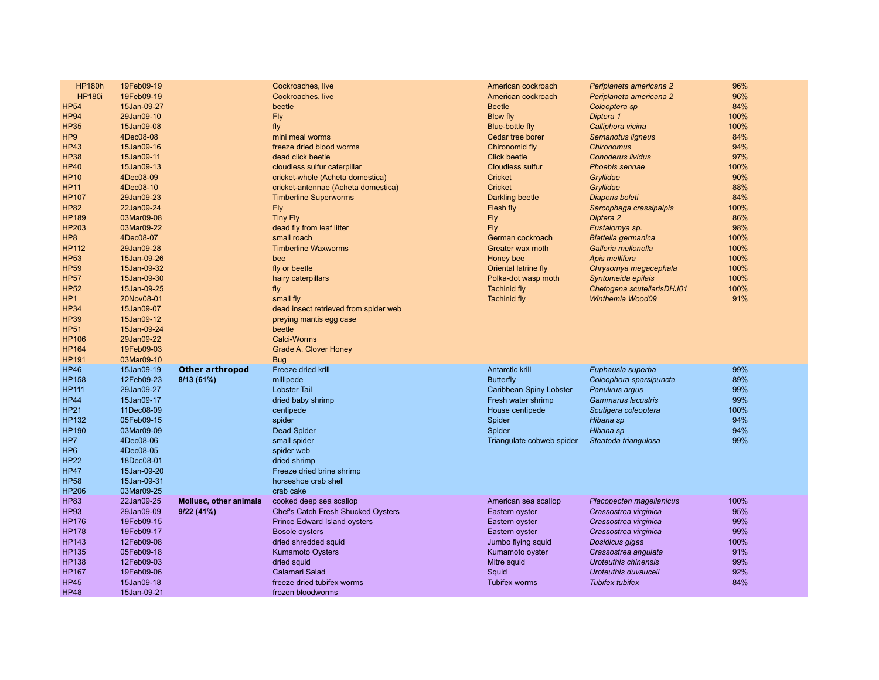| <b>HP180h</b>   | 19Feb09-19  |                        | Cockroaches, live                         | American cockroach        | Periplaneta americana 2     | 96%  |
|-----------------|-------------|------------------------|-------------------------------------------|---------------------------|-----------------------------|------|
| <b>HP180i</b>   | 19Feb09-19  |                        | Cockroaches, live                         | American cockroach        | Periplaneta americana 2     | 96%  |
| <b>HP54</b>     | 15Jan-09-27 |                        | beetle                                    | <b>Beetle</b>             | Coleoptera sp               | 84%  |
| <b>HP94</b>     | 29Jan09-10  |                        | Fly                                       | <b>Blow fly</b>           | Diptera 1                   | 100% |
| <b>HP35</b>     | 15Jan09-08  |                        | fly                                       | Blue-bottle fly           | Calliphora vicina           | 100% |
| HP <sub>9</sub> | 4Dec08-08   |                        | mini meal worms                           | Cedar tree borer          | Semanotus ligneus           | 84%  |
| <b>HP43</b>     | 15Jan09-16  |                        | freeze dried blood worms                  | Chironomid fly            | <b>Chironomus</b>           | 94%  |
| <b>HP38</b>     | 15Jan09-11  |                        | dead click beetle                         | <b>Click beetle</b>       | <b>Conoderus lividus</b>    | 97%  |
| <b>HP40</b>     | 15Jan09-13  |                        | cloudless sulfur caterpillar              | <b>Cloudless sulfur</b>   | <b>Phoebis sennae</b>       | 100% |
| <b>HP10</b>     | 4Dec08-09   |                        | cricket-whole (Acheta domestica)          | <b>Cricket</b>            | Gryllidae                   | 90%  |
| HP11            | 4Dec08-10   |                        | cricket-antennae (Acheta domestica)       | Cricket                   | Gryllidae                   | 88%  |
| <b>HP107</b>    | 29Jan09-23  |                        | <b>Timberline Superworms</b>              | <b>Darkling beetle</b>    | Diaperis boleti             | 84%  |
| <b>HP82</b>     | 22Jan09-24  |                        | Fly                                       | Flesh fly                 | Sarcophaga crassipalpis     | 100% |
| <b>HP189</b>    | 03Mar09-08  |                        | <b>Tiny Fly</b>                           | <b>Fly</b>                | Diptera 2                   | 86%  |
| <b>HP203</b>    | 03Mar09-22  |                        | dead fly from leaf litter                 | Fly                       | Eustalomya sp.              | 98%  |
| HP <sub>8</sub> | 4Dec08-07   |                        | small roach                               | German cockroach          | <b>Blattella germanica</b>  | 100% |
| <b>HP112</b>    | 29Jan09-28  |                        | <b>Timberline Waxworms</b>                | Greater wax moth          | Galleria mellonella         | 100% |
| <b>HP53</b>     | 15Jan-09-26 |                        | bee                                       | Honey bee                 | Apis mellifera              | 100% |
| <b>HP59</b>     | 15Jan-09-32 |                        | fly or beetle                             | Oriental latrine fly      | Chrysomya megacephala       | 100% |
| <b>HP57</b>     | 15Jan-09-30 |                        | hairy caterpillars                        | Polka-dot wasp moth       | Syntomeida epilais          | 100% |
| <b>HP52</b>     | 15Jan-09-25 |                        | fly                                       | <b>Tachinid fly</b>       | Chetogena scutellarisDHJ01  | 100% |
| HP <sub>1</sub> | 20Nov08-01  |                        | small fly                                 | <b>Tachinid fly</b>       | Winthemia Wood09            | 91%  |
| <b>HP34</b>     | 15Jan09-07  |                        | dead insect retrieved from spider web     |                           |                             |      |
| <b>HP39</b>     | 15Jan09-12  |                        | preying mantis egg case                   |                           |                             |      |
| <b>HP51</b>     | 15Jan-09-24 |                        | beetle                                    |                           |                             |      |
| <b>HP106</b>    | 29Jan09-22  |                        | <b>Calci-Worms</b>                        |                           |                             |      |
| <b>HP164</b>    | 19Feb09-03  |                        | Grade A. Clover Honey                     |                           |                             |      |
| <b>HP191</b>    | 03Mar09-10  |                        | <b>Bug</b>                                |                           |                             |      |
| <b>HP46</b>     | 15Jan09-19  | <b>Other arthropod</b> | Freeze dried krill                        | <b>Antarctic krill</b>    | Euphausia superba           | 99%  |
| <b>HP158</b>    | 12Feb09-23  | 8/13(61%)              | millipede                                 | Butterfly                 | Coleophora sparsipuncta     | 89%  |
| <b>HP111</b>    | 29Jan09-27  |                        | <b>Lobster Tail</b>                       | Caribbean Spiny Lobster   | Panulirus argus             | 99%  |
| <b>HP44</b>     | 15Jan09-17  |                        | dried baby shrimp                         | Fresh water shrimp        | Gammarus lacustris          | 99%  |
| <b>HP21</b>     | 11Dec08-09  |                        | centipede                                 | House centipede           | Scutigera coleoptera        | 100% |
| <b>HP132</b>    | 05Feb09-15  |                        | spider                                    | Spider                    | Hibana sp                   | 94%  |
| <b>HP190</b>    | 03Mar09-09  |                        | <b>Dead Spider</b>                        | Spider                    | Hibana sp                   | 94%  |
| HP7             | 4Dec08-06   |                        | small spider                              | Triangulate cobweb spider | Steatoda triangulosa        | 99%  |
| HP <sub>6</sub> | 4Dec08-05   |                        | spider web                                |                           |                             |      |
| <b>HP22</b>     | 18Dec08-01  |                        | dried shrimp                              |                           |                             |      |
| <b>HP47</b>     | 15Jan-09-20 |                        | Freeze dried brine shrimp                 |                           |                             |      |
| <b>HP58</b>     | 15Jan-09-31 |                        | horseshoe crab shell                      |                           |                             |      |
| <b>HP206</b>    | 03Mar09-25  |                        | crab cake                                 |                           |                             |      |
| <b>HP83</b>     | 22Jan09-25  | Mollusc, other animals | cooked deep sea scallop                   | American sea scallop      | Placopecten magellanicus    | 100% |
| <b>HP93</b>     | 29Jan09-09  | 9/22(41%)              | <b>Chef's Catch Fresh Shucked Oysters</b> | Eastern oyster            | Crassostrea virginica       | 95%  |
| <b>HP176</b>    | 19Feb09-15  |                        | <b>Prince Edward Island oysters</b>       | Eastern oyster            | Crassostrea virginica       | 99%  |
| <b>HP178</b>    | 19Feb09-17  |                        | <b>Bosole oysters</b>                     | Eastern oyster            | Crassostrea virginica       | 99%  |
| <b>HP143</b>    | 12Feb09-08  |                        | dried shredded squid                      | Jumbo flying squid        | Dosidicus gigas             | 100% |
| <b>HP135</b>    | 05Feb09-18  |                        | <b>Kumamoto Oysters</b>                   | Kumamoto oyster           | Crassostrea angulata        | 91%  |
| <b>HP138</b>    | 12Feb09-03  |                        | dried squid                               | Mitre squid               | <b>Uroteuthis chinensis</b> | 99%  |
| <b>HP167</b>    | 19Feb09-06  |                        | Calamari Salad                            | Squid                     | Uroteuthis duvauceli        | 92%  |
| <b>HP45</b>     | 15Jan09-18  |                        | freeze dried tubifex worms                | <b>Tubifex worms</b>      | <b>Tubifex tubifex</b>      | 84%  |
| <b>HP48</b>     | 15Jan-09-21 |                        | frozen bloodworms                         |                           |                             |      |